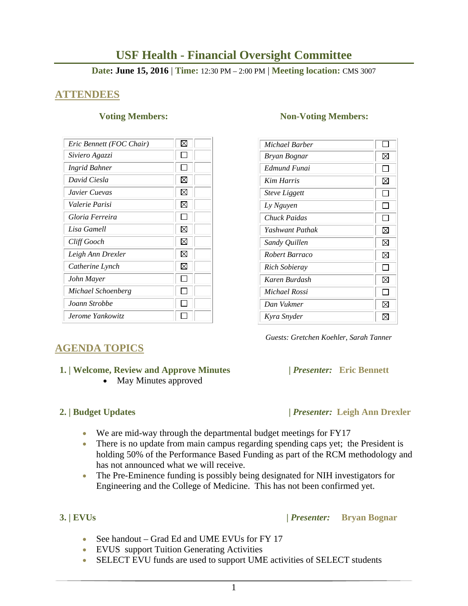# **USF Health - Financial Oversight Committee**

### **Date: June 15, 2016** | **Time:** 12:30 PM – 2:00 PM | **Meeting location:** CMS 3007

## **ATTENDEES**

| Eric Bennett (FOC Chair) | ⋈           |
|--------------------------|-------------|
| Siviero Agazzi           |             |
| Ingrid Bahner            |             |
| David Ciesla             | $\boxtimes$ |
| Javier Cuevas            | ⋈           |
| Valerie Parisi           | X           |
| Gloria Ferreira          |             |
| Lisa Gamell              | ⊠           |
| Cliff Gooch              | ⊠           |
| Leigh Ann Drexler        | ⊠           |
| Catherine Lynch          | ⊠           |
| John Mayer               |             |
| Michael Schoenberg       |             |
| Joann Strobbe            |             |
| Jerome Yankowitz         |             |

### **Voting Members:** Non-Voting Members:

| Michael Barber       |                          |
|----------------------|--------------------------|
| Bryan Bognar         | ⊠                        |
| Edmund Funai         | l I                      |
| <b>Kim Harris</b>    | ⊠                        |
| <b>Steve Liggett</b> | $\overline{\phantom{a}}$ |
| Ly Nguyen            |                          |
| Chuck Paidas         | $\mathsf{L}$             |
| Yashwant Pathak      | ⊠                        |
| Sandy Quillen        | ⊠                        |
| Robert Barraco       | ⊠                        |
| <b>Rich Sobieray</b> |                          |
| Karen Burdash        | ⊠                        |
| Michael Rossi        | I I                      |
| Dan Vukmer           | ⊠                        |
| Kyra Snyder          | M                        |

 *Guests: Gretchen Koehler, Sarah Tanner* 

# **AGENDA TOPICS**

### **1. | Welcome, Review and Approve Minutes****|** *Presenter:* **Eric Bennett**

• May Minutes approved

- **2. | Budget Updates |** *Presenter:* **Leigh Ann Drexler** 
	- We are mid-way through the departmental budget meetings for FY17
	- There is no update from main campus regarding spending caps yet; the President is holding 50% of the Performance Based Funding as part of the RCM methodology and has not announced what we will receive.
	- The Pre-Eminence funding is possibly being designated for NIH investigators for Engineering and the College of Medicine. This has not been confirmed yet.

### **3. | EVUs |** *Presenter:* **Bryan Bognar**

- See handout Grad Ed and UME EVUs for FY 17
- EVUS support Tuition Generating Activities
- SELECT EVU funds are used to support UME activities of SELECT students
	- 1